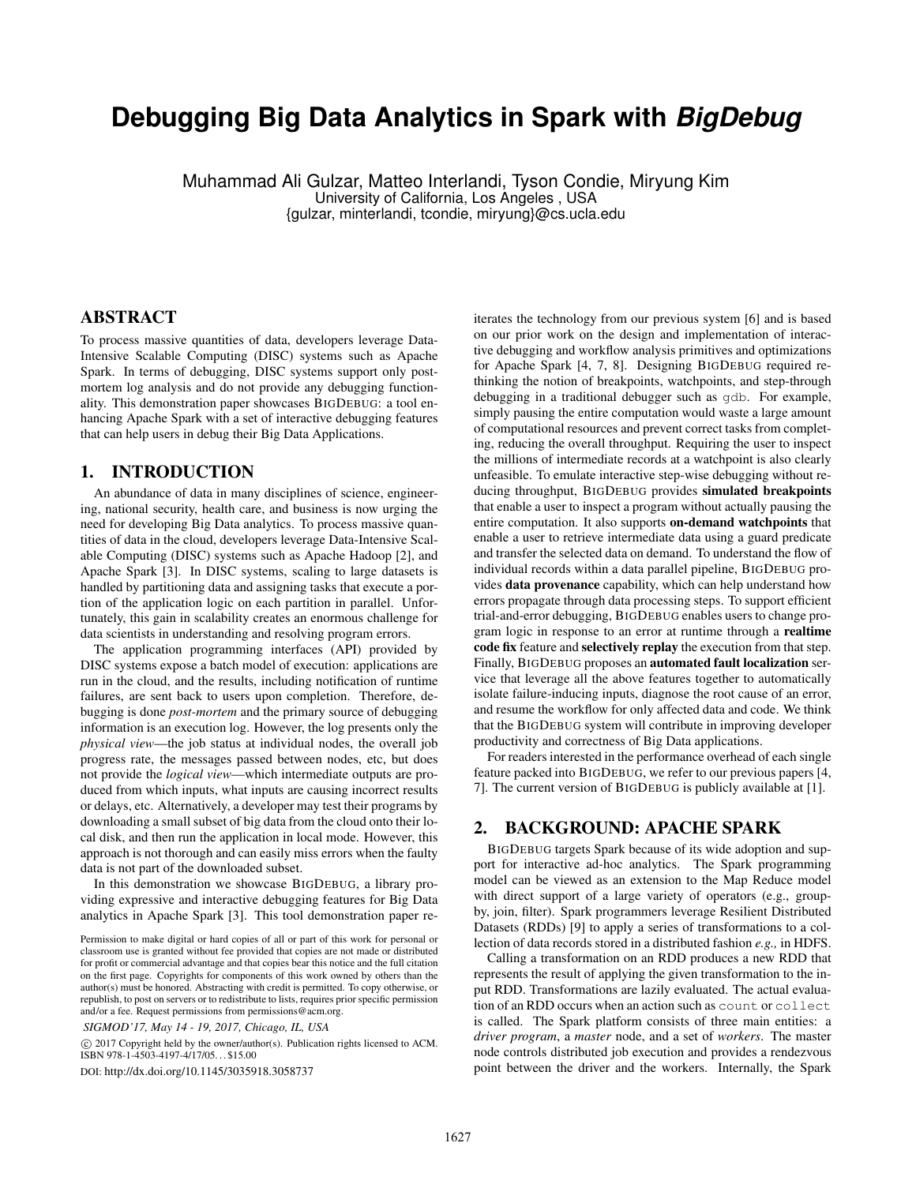# **Debugging Big Data Analytics in Spark with** *BigDebug*

Muhammad Ali Gulzar, Matteo Interlandi, Tyson Condie, Miryung Kim University of California, Los Angeles , USA {gulzar, minterlandi, tcondie, miryung}@cs.ucla.edu

# ABSTRACT

To process massive quantities of data, developers leverage Data-Intensive Scalable Computing (DISC) systems such as Apache Spark. In terms of debugging, DISC systems support only postmortem log analysis and do not provide any debugging functionality. This demonstration paper showcases BIGDEBUG: a tool enhancing Apache Spark with a set of interactive debugging features that can help users in debug their Big Data Applications.

# 1. INTRODUCTION

An abundance of data in many disciplines of science, engineering, national security, health care, and business is now urging the need for developing Big Data analytics. To process massive quantities of data in the cloud, developers leverage Data-Intensive Scalable Computing (DISC) systems such as Apache Hadoop [2], and Apache Spark [3]. In DISC systems, scaling to large datasets is handled by partitioning data and assigning tasks that execute a portion of the application logic on each partition in parallel. Unfortunately, this gain in scalability creates an enormous challenge for data scientists in understanding and resolving program errors.

The application programming interfaces (API) provided by DISC systems expose a batch model of execution: applications are run in the cloud, and the results, including notification of runtime failures, are sent back to users upon completion. Therefore, debugging is done *post-mortem* and the primary source of debugging information is an execution log. However, the log presents only the *physical view*—the job status at individual nodes, the overall job progress rate, the messages passed between nodes, etc, but does not provide the *logical view*—which intermediate outputs are produced from which inputs, what inputs are causing incorrect results or delays, etc. Alternatively, a developer may test their programs by downloading a small subset of big data from the cloud onto their local disk, and then run the application in local mode. However, this approach is not thorough and can easily miss errors when the faulty data is not part of the downloaded subset.

In this demonstration we showcase BIGDEBUG, a library providing expressive and interactive debugging features for Big Data analytics in Apache Spark [3]. This tool demonstration paper re-

*SIGMOD'17, May 14 - 19, 2017, Chicago, IL, USA*

 c 2017 Copyright held by the owner/author(s). Publication rights licensed to ACM. ISBN 978-1-4503-4197-4/17/05. . . \$15.00

DOI: http://dx.doi.org/10.1145/3035918.3058737

iterates the technology from our previous system [6] and is based on our prior work on the design and implementation of interactive debugging and workflow analysis primitives and optimizations for Apache Spark [4, 7, 8]. Designing BIGDEBUG required rethinking the notion of breakpoints, watchpoints, and step-through debugging in a traditional debugger such as gdb. For example, simply pausing the entire computation would waste a large amount of computational resources and prevent correct tasks from completing, reducing the overall throughput. Requiring the user to inspect the millions of intermediate records at a watchpoint is also clearly unfeasible. To emulate interactive step-wise debugging without reducing throughput, BIGDEBUG provides simulated breakpoints that enable a user to inspect a program without actually pausing the entire computation. It also supports on-demand watchpoints that enable a user to retrieve intermediate data using a guard predicate and transfer the selected data on demand. To understand the flow of individual records within a data parallel pipeline, BIGDEBUG provides data provenance capability, which can help understand how errors propagate through data processing steps. To support efficient trial-and-error debugging, BIGDEBUG enables users to change program logic in response to an error at runtime through a realtime code fix feature and selectively replay the execution from that step. Finally, BIGDEBUG proposes an automated fault localization service that leverage all the above features together to automatically isolate failure-inducing inputs, diagnose the root cause of an error, and resume the workflow for only affected data and code. We think that the BIGDEBUG system will contribute in improving developer productivity and correctness of Big Data applications.

For readers interested in the performance overhead of each single feature packed into BIGDEBUG, we refer to our previous papers [4, 7]. The current version of BIGDEBUG is publicly available at [1].

# 2. BACKGROUND: APACHE SPARK

BIGDEBUG targets Spark because of its wide adoption and support for interactive ad-hoc analytics. The Spark programming model can be viewed as an extension to the Map Reduce model with direct support of a large variety of operators (e.g., groupby, join, filter). Spark programmers leverage Resilient Distributed Datasets (RDDs) [9] to apply a series of transformations to a collection of data records stored in a distributed fashion *e.g.,* in HDFS.

Calling a transformation on an RDD produces a new RDD that represents the result of applying the given transformation to the input RDD. Transformations are lazily evaluated. The actual evaluation of an RDD occurs when an action such as count or collect is called. The Spark platform consists of three main entities: a *driver program*, a *master* node, and a set of *workers*. The master node controls distributed job execution and provides a rendezvous point between the driver and the workers. Internally, the Spark

Permission to make digital or hard copies of all or part of this work for personal or classroom use is granted without fee provided that copies are not made or distributed for profit or commercial advantage and that copies bear this notice and the full citation on the first page. Copyrights for components of this work owned by others than the author(s) must be honored. Abstracting with credit is permitted. To copy otherwise, or republish, to post on servers or to redistribute to lists, requires prior specific permission and/or a fee. Request permissions from permissions@acm.org.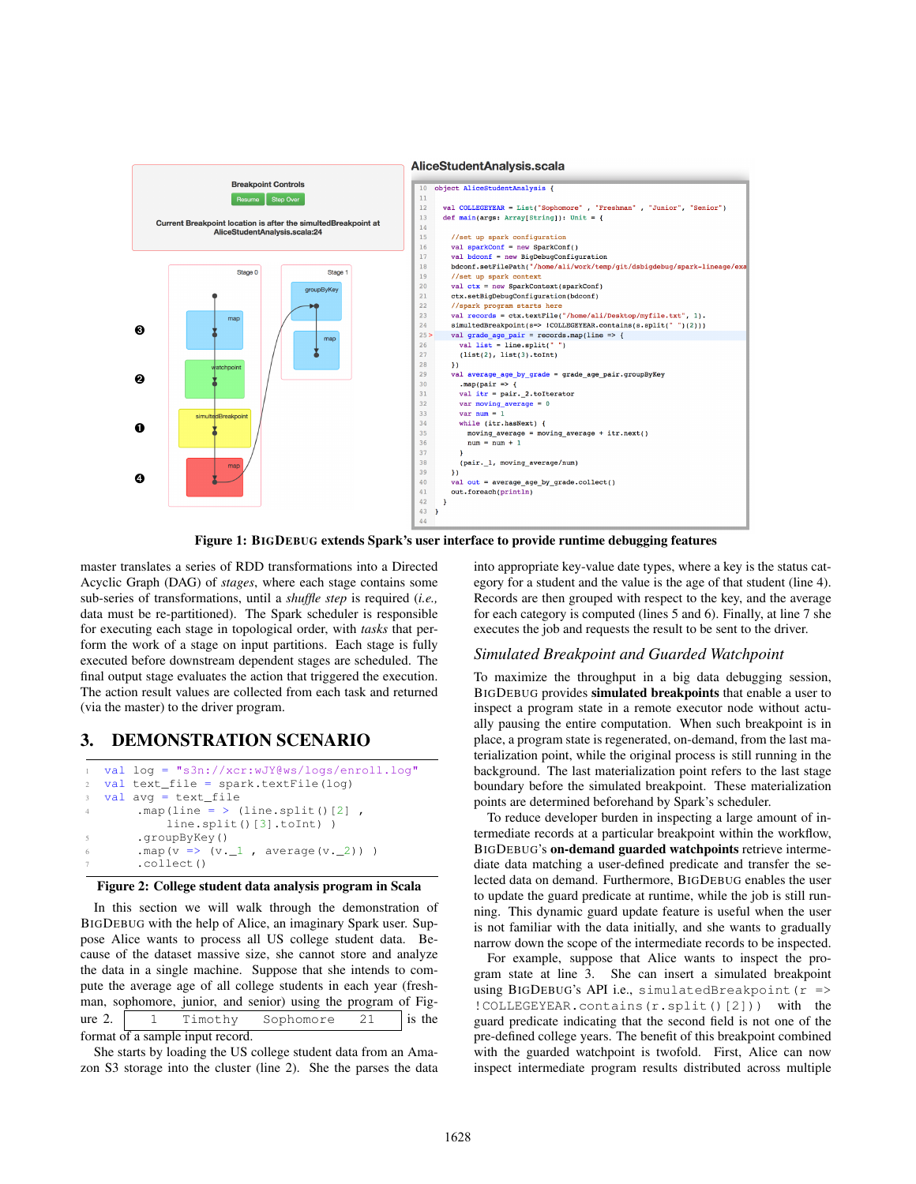

Figure 1: BIGDEBUG extends Spark's user interface to provide runtime debugging features

master translates a series of RDD transformations into a Directed Acyclic Graph (DAG) of *stages*, where each stage contains some sub-series of transformations, until a *shuffle step* is required (*i.e.,* data must be re-partitioned). The Spark scheduler is responsible for executing each stage in topological order, with *tasks* that perform the work of a stage on input partitions. Each stage is fully executed before downstream dependent stages are scheduled. The final output stage evaluates the action that triggered the execution. The action result values are collected from each task and returned (via the master) to the driver program.

# 3. DEMONSTRATION SCENARIO

```
val log = "s3n://xcr:wJY@ws/logs/enroll.log"
2 val text_file = spark.textFile(log)
3 val avg = text_file
4 .map(line = > (line.split()[2],
           line.split()[3].toInt))
5 .groupByKey()
       .map(v \implies (v \cdot 1, average(v \cdot 2)))
       .collect()
```
#### Figure 2: College student data analysis program in Scala

In this section we will walk through the demonstration of BIGDEBUG with the help of Alice, an imaginary Spark user. Suppose Alice wants to process all US college student data. Because of the dataset massive size, she cannot store and analyze the data in a single machine. Suppose that she intends to compute the average age of all college students in each year (freshman, sophomore, junior, and senior) using the program of Figure 2.  $\begin{vmatrix} 1 & \text{Timothy} \\ \text{Is the} \end{vmatrix}$ format of a sample input record.

She starts by loading the US college student data from an Amazon S3 storage into the cluster (line 2). She the parses the data into appropriate key-value date types, where a key is the status category for a student and the value is the age of that student (line 4). Records are then grouped with respect to the key, and the average for each category is computed (lines 5 and 6). Finally, at line 7 she executes the job and requests the result to be sent to the driver.

#### *Simulated Breakpoint and Guarded Watchpoint*

To maximize the throughput in a big data debugging session, BIGDEBUG provides simulated breakpoints that enable a user to inspect a program state in a remote executor node without actually pausing the entire computation. When such breakpoint is in place, a program state is regenerated, on-demand, from the last materialization point, while the original process is still running in the background. The last materialization point refers to the last stage boundary before the simulated breakpoint. These materialization points are determined beforehand by Spark's scheduler.

To reduce developer burden in inspecting a large amount of intermediate records at a particular breakpoint within the workflow, BIGDEBUG's on-demand guarded watchpoints retrieve intermediate data matching a user-defined predicate and transfer the selected data on demand. Furthermore, BIGDEBUG enables the user to update the guard predicate at runtime, while the job is still running. This dynamic guard update feature is useful when the user is not familiar with the data initially, and she wants to gradually narrow down the scope of the intermediate records to be inspected.

For example, suppose that Alice wants to inspect the program state at line 3. She can insert a simulated breakpoint using BIGDEBUG's API i.e., simulatedBreakpoint  $(r \Rightarrow$ !COLLEGEYEAR.contains(r.split()[2])) with the guard predicate indicating that the second field is not one of the pre-defined college years. The benefit of this breakpoint combined with the guarded watchpoint is twofold. First, Alice can now inspect intermediate program results distributed across multiple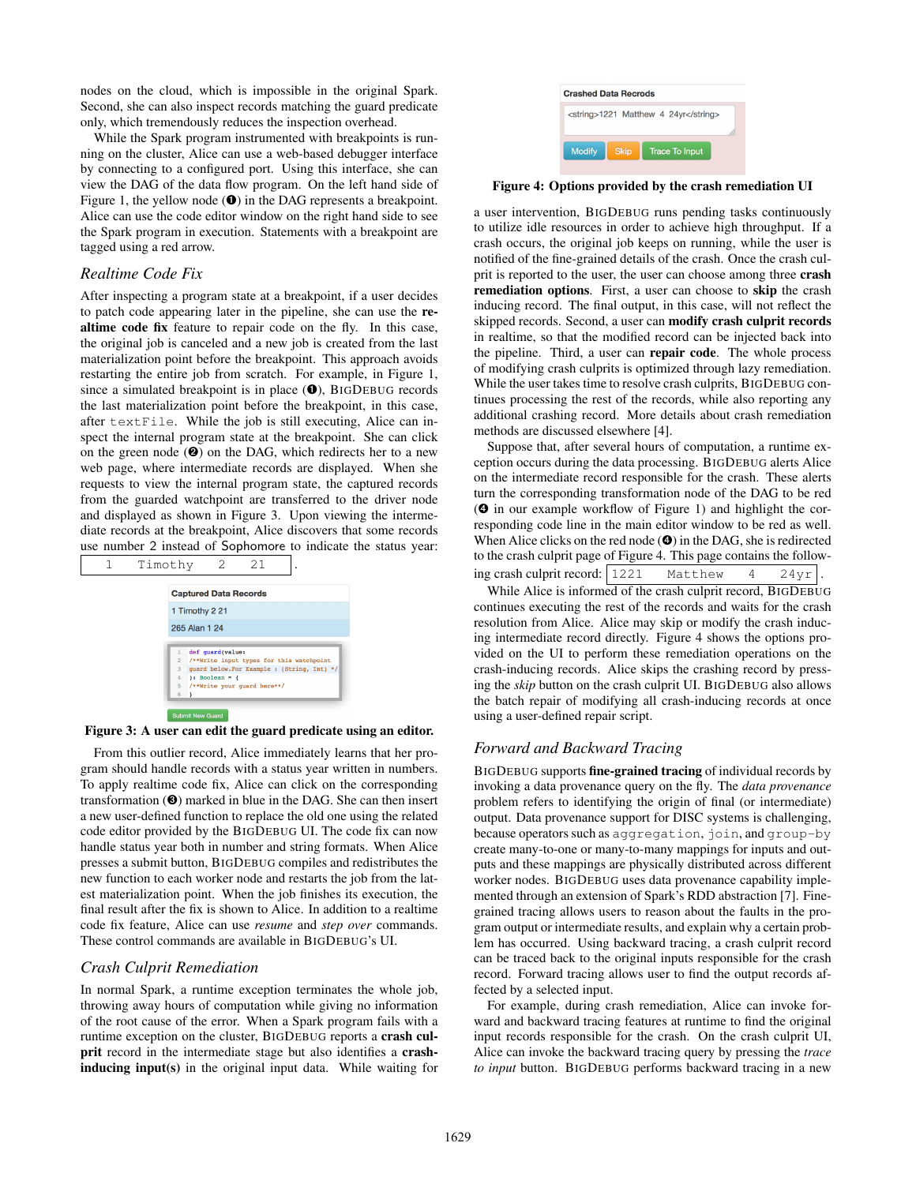nodes on the cloud, which is impossible in the original Spark. Second, she can also inspect records matching the guard predicate only, which tremendously reduces the inspection overhead.

While the Spark program instrumented with breakpoints is running on the cluster, Alice can use a web-based debugger interface by connecting to a configured port. Using this interface, she can view the DAG of the data flow program. On the left hand side of Figure 1, the yellow node  $(\bullet)$  in the DAG represents a breakpoint. Alice can use the code editor window on the right hand side to see the Spark program in execution. Statements with a breakpoint are tagged using a red arrow.

#### *Realtime Code Fix*

After inspecting a program state at a breakpoint, if a user decides to patch code appearing later in the pipeline, she can use the realtime code fix feature to repair code on the fly. In this case, the original job is canceled and a new job is created from the last materialization point before the breakpoint. This approach avoids restarting the entire job from scratch. For example, in Figure 1, since a simulated breakpoint is in place  $(\bullet)$ , BIGDEBUG records the last materialization point before the breakpoint, in this case, after textFile. While the job is still executing, Alice can inspect the internal program state at the breakpoint. She can click on the green node  $(②)$  on the DAG, which redirects her to a new web page, where intermediate records are displayed. When she requests to view the internal program state, the captured records from the guarded watchpoint are transferred to the driver node and displayed as shown in Figure 3. Upon viewing the intermediate records at the breakpoint, Alice discovers that some records use number 2 instead of Sophomore to indicate the status year:



#### Figure 3: A user can edit the guard predicate using an editor.

From this outlier record, Alice immediately learns that her program should handle records with a status year written in numbers. To apply realtime code fix, Alice can click on the corresponding transformation (➌) marked in blue in the DAG. She can then insert a new user-defined function to replace the old one using the related code editor provided by the BIGDEBUG UI. The code fix can now handle status year both in number and string formats. When Alice presses a submit button, BIGDEBUG compiles and redistributes the new function to each worker node and restarts the job from the latest materialization point. When the job finishes its execution, the final result after the fix is shown to Alice. In addition to a realtime code fix feature, Alice can use *resume* and *step over* commands. These control commands are available in BIGDEBUG's UI.

#### *Crash Culprit Remediation*

In normal Spark, a runtime exception terminates the whole job, throwing away hours of computation while giving no information of the root cause of the error. When a Spark program fails with a runtime exception on the cluster, BIGDEBUG reports a crash culprit record in the intermediate stage but also identifies a crashinducing input(s) in the original input data. While waiting for



#### Figure 4: Options provided by the crash remediation UI

a user intervention, BIGDEBUG runs pending tasks continuously to utilize idle resources in order to achieve high throughput. If a crash occurs, the original job keeps on running, while the user is notified of the fine-grained details of the crash. Once the crash culprit is reported to the user, the user can choose among three **crash** remediation options. First, a user can choose to skip the crash inducing record. The final output, in this case, will not reflect the skipped records. Second, a user can modify crash culprit records in realtime, so that the modified record can be injected back into the pipeline. Third, a user can repair code. The whole process of modifying crash culprits is optimized through lazy remediation. While the user takes time to resolve crash culprits, BIGDEBUG continues processing the rest of the records, while also reporting any additional crashing record. More details about crash remediation methods are discussed elsewhere [4].

Suppose that, after several hours of computation, a runtime exception occurs during the data processing. BIGDEBUG alerts Alice on the intermediate record responsible for the crash. These alerts turn the corresponding transformation node of the DAG to be red (➍ in our example workflow of Figure 1) and highlight the corresponding code line in the main editor window to be red as well. When Alice clicks on the red node ( $\odot$ ) in the DAG, she is redirected to the crash culprit page of Figure 4. This page contains the following crash culprit record: 1221 Matthew 4 24yr

While Alice is informed of the crash culprit record, BIGDEBUG continues executing the rest of the records and waits for the crash resolution from Alice. Alice may skip or modify the crash inducing intermediate record directly. Figure 4 shows the options provided on the UI to perform these remediation operations on the crash-inducing records. Alice skips the crashing record by pressing the *skip* button on the crash culprit UI. BIGDEBUG also allows the batch repair of modifying all crash-inducing records at once using a user-defined repair script.

### *Forward and Backward Tracing*

BIGDEBUG supports fine-grained tracing of individual records by invoking a data provenance query on the fly. The *data provenance* problem refers to identifying the origin of final (or intermediate) output. Data provenance support for DISC systems is challenging, because operators such as aggregation, join, and group-by create many-to-one or many-to-many mappings for inputs and outputs and these mappings are physically distributed across different worker nodes. BIGDEBUG uses data provenance capability implemented through an extension of Spark's RDD abstraction [7]. Finegrained tracing allows users to reason about the faults in the program output or intermediate results, and explain why a certain problem has occurred. Using backward tracing, a crash culprit record can be traced back to the original inputs responsible for the crash record. Forward tracing allows user to find the output records affected by a selected input.

For example, during crash remediation, Alice can invoke forward and backward tracing features at runtime to find the original input records responsible for the crash. On the crash culprit UI, Alice can invoke the backward tracing query by pressing the *trace to input* button. BIGDEBUG performs backward tracing in a new